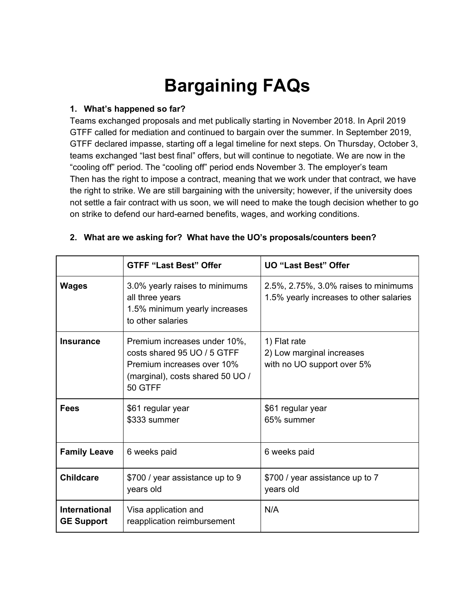# **Bargaining FAQs**

#### **1. What's happened so far?**

Teams exchanged proposals and met publically starting in November 2018. In April 2019 GTFF called for mediation and continued to bargain over the summer. In September 2019, GTFF declared impasse, starting off a legal timeline for next steps. On Thursday, October 3, teams exchanged "last best final" offers, but will continue to negotiate. We are now in the "cooling off" period. The "cooling off" period ends November 3. The employer's team Then has the right to impose a contract, meaning that we work under that contract, we have the right to strike. We are still bargaining with the university; however, if the university does not settle a fair contract with us soon, we will need to make the tough decision whether to go on strike to defend our hard-earned benefits, wages, and working conditions.

|                                           | <b>GTFF "Last Best" Offer</b>                                                                                                            | <b>UO "Last Best" Offer</b>                                                     |
|-------------------------------------------|------------------------------------------------------------------------------------------------------------------------------------------|---------------------------------------------------------------------------------|
| <b>Wages</b>                              | 3.0% yearly raises to minimums<br>all three years<br>1.5% minimum yearly increases<br>to other salaries                                  | 2.5%, 2.75%, 3.0% raises to minimums<br>1.5% yearly increases to other salaries |
| <b>Insurance</b>                          | Premium increases under 10%,<br>costs shared 95 UO / 5 GTFF<br>Premium increases over 10%<br>(marginal), costs shared 50 UO /<br>50 GTFF | 1) Flat rate<br>2) Low marginal increases<br>with no UO support over 5%         |
| <b>Fees</b>                               | \$61 regular year<br>\$333 summer                                                                                                        | \$61 regular year<br>65% summer                                                 |
| <b>Family Leave</b>                       | 6 weeks paid                                                                                                                             | 6 weeks paid                                                                    |
| <b>Childcare</b>                          | \$700 / year assistance up to 9<br>years old                                                                                             | \$700 / year assistance up to 7<br>years old                                    |
| <b>International</b><br><b>GE Support</b> | Visa application and<br>reapplication reimbursement                                                                                      | N/A                                                                             |

#### **2. What are we asking for? What have the UO's proposals/counters been?**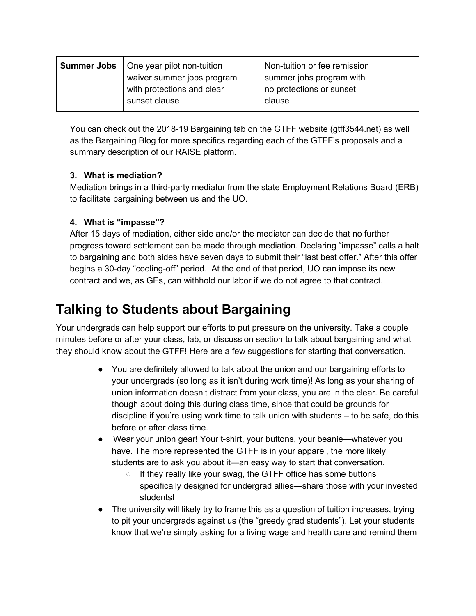| <b>Summer Jobs</b>   One year pilot non-tuition | Non-tuition or fee remission |
|-------------------------------------------------|------------------------------|
| waiver summer jobs program                      | summer jobs program with     |
| with protections and clear                      | no protections or sunset     |
| sunset clause                                   | clause                       |

You can check out the 2018-19 Bargaining tab on the GTFF website (gtff3544.net) as well as the Bargaining Blog for more specifics regarding each of the GTFF's proposals and a summary description of our RAISE platform.

### **3. What is mediation?**

Mediation brings in a third-party mediator from the state Employment Relations Board (ERB) to facilitate bargaining between us and the UO.

### **4. What is "impasse"?**

After 15 days of mediation, either side and/or the mediator can decide that no further progress toward settlement can be made through mediation. Declaring "impasse" calls a halt to bargaining and both sides have seven days to submit their "last best offer." After this offer begins a 30-day "cooling-off" period. At the end of that period, UO can impose its new contract and we, as GEs, can withhold our labor if we do not agree to that contract.

# **Talking to Students about Bargaining**

Your undergrads can help support our efforts to put pressure on the university. Take a couple minutes before or after your class, lab, or discussion section to talk about bargaining and what they should know about the GTFF! Here are a few suggestions for starting that conversation.

- You are definitely allowed to talk about the union and our bargaining efforts to your undergrads (so long as it isn't during work time)! As long as your sharing of union information doesn't distract from your class, you are in the clear. Be careful though about doing this during class time, since that could be grounds for discipline if you're using work time to talk union with students – to be safe, do this before or after class time.
- Wear your union gear! Your t-shirt, your buttons, your beanie—whatever you have. The more represented the GTFF is in your apparel, the more likely students are to ask you about it—an easy way to start that conversation.
	- If they really like your swag, the GTFF office has some buttons specifically designed for undergrad allies—share those with your invested students!
- The university will likely try to frame this as a question of tuition increases, trying to pit your undergrads against us (the "greedy grad students"). Let your students know that we're simply asking for a living wage and health care and remind them